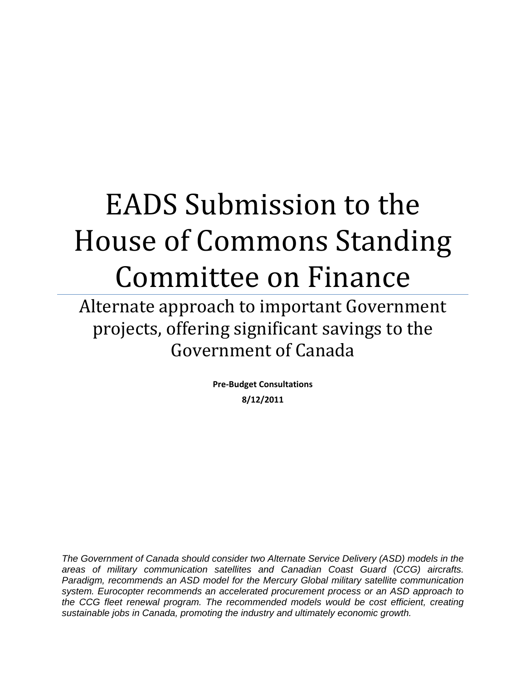# EADS Submission to the House of Commons Standing Committee on Finance

Alternate approach to important Government projects, offering significant savings to the Government of Canada

> **Pre‐Budget Consultations 8/12/2011**

*The Government of Canada should consider two Alternate Service Delivery (ASD) models in the areas of military communication satellites and Canadian Coast Guard (CCG) aircrafts. Paradigm, recommends an ASD model for the Mercury Global military satellite communication system. Eurocopter recommends an accelerated procurement process or an ASD approach to the CCG fleet renewal program. The recommended models would be cost efficient, creating sustainable jobs in Canada, promoting the industry and ultimately economic growth.*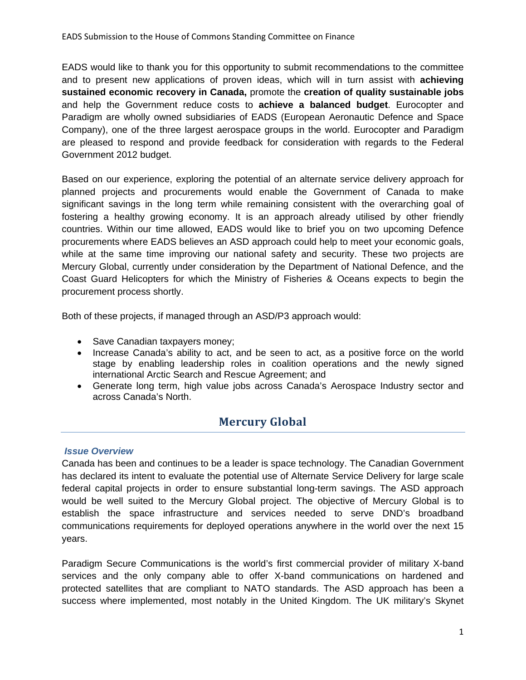EADS would like to thank you for this opportunity to submit recommendations to the committee and to present new applications of proven ideas, which will in turn assist with **achieving sustained economic recovery in Canada,** promote the **creation of quality sustainable jobs**  and help the Government reduce costs to **achieve a balanced budget**. Eurocopter and Paradigm are wholly owned subsidiaries of EADS (European Aeronautic Defence and Space Company), one of the three largest aerospace groups in the world. Eurocopter and Paradigm are pleased to respond and provide feedback for consideration with regards to the Federal Government 2012 budget.

Based on our experience, exploring the potential of an alternate service delivery approach for planned projects and procurements would enable the Government of Canada to make significant savings in the long term while remaining consistent with the overarching goal of fostering a healthy growing economy. It is an approach already utilised by other friendly countries. Within our time allowed, EADS would like to brief you on two upcoming Defence procurements where EADS believes an ASD approach could help to meet your economic goals, while at the same time improving our national safety and security. These two projects are Mercury Global, currently under consideration by the Department of National Defence, and the Coast Guard Helicopters for which the Ministry of Fisheries & Oceans expects to begin the procurement process shortly.

Both of these projects, if managed through an ASD/P3 approach would:

- Save Canadian taxpayers money;
- Increase Canada's ability to act, and be seen to act, as a positive force on the world stage by enabling leadership roles in coalition operations and the newly signed international Arctic Search and Rescue Agreement; and
- Generate long term, high value jobs across Canada's Aerospace Industry sector and across Canada's North.

# **Mercury Global**

#### *Issue Overview*

Canada has been and continues to be a leader is space technology. The Canadian Government has declared its intent to evaluate the potential use of Alternate Service Delivery for large scale federal capital projects in order to ensure substantial long-term savings. The ASD approach would be well suited to the Mercury Global project. The objective of Mercury Global is to establish the space infrastructure and services needed to serve DND's broadband communications requirements for deployed operations anywhere in the world over the next 15 years.

Paradigm Secure Communications is the world's first commercial provider of military X-band services and the only company able to offer X-band communications on hardened and protected satellites that are compliant to NATO standards. The ASD approach has been a success where implemented, most notably in the United Kingdom. The UK military's Skynet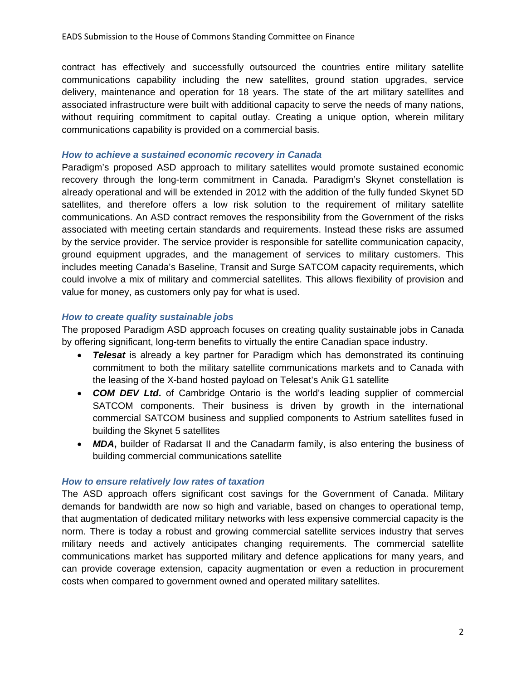contract has effectively and successfully outsourced the countries entire military satellite communications capability including the new satellites, ground station upgrades, service delivery, maintenance and operation for 18 years. The state of the art military satellites and associated infrastructure were built with additional capacity to serve the needs of many nations, without requiring commitment to capital outlay. Creating a unique option, wherein military communications capability is provided on a commercial basis.

#### *How to achieve a sustained economic recovery in Canada*

Paradigm's proposed ASD approach to military satellites would promote sustained economic recovery through the long-term commitment in Canada. Paradigm's Skynet constellation is already operational and will be extended in 2012 with the addition of the fully funded Skynet 5D satellites, and therefore offers a low risk solution to the requirement of military satellite communications. An ASD contract removes the responsibility from the Government of the risks associated with meeting certain standards and requirements. Instead these risks are assumed by the service provider. The service provider is responsible for satellite communication capacity, ground equipment upgrades, and the management of services to military customers. This includes meeting Canada's Baseline, Transit and Surge SATCOM capacity requirements, which could involve a mix of military and commercial satellites. This allows flexibility of provision and value for money, as customers only pay for what is used.

# *How to create quality sustainable jobs*

The proposed Paradigm ASD approach focuses on creating quality sustainable jobs in Canada by offering significant, long-term benefits to virtually the entire Canadian space industry.

- *Telesat* is already a key partner for Paradigm which has demonstrated its continuing commitment to both the military satellite communications markets and to Canada with the leasing of the X-band hosted payload on Telesat's Anik G1 satellite
- **COM DEV Ltd.** of Cambridge Ontario is the world's leading supplier of commercial SATCOM components. Their business is driven by growth in the international commercial SATCOM business and supplied components to Astrium satellites fused in building the Skynet 5 satellites
- *MDA***,** builder of Radarsat II and the Canadarm family, is also entering the business of building commercial communications satellite

# *How to ensure relatively low rates of taxation*

The ASD approach offers significant cost savings for the Government of Canada. Military demands for bandwidth are now so high and variable, based on changes to operational temp, that augmentation of dedicated military networks with less expensive commercial capacity is the norm. There is today a robust and growing commercial satellite services industry that serves military needs and actively anticipates changing requirements. The commercial satellite communications market has supported military and defence applications for many years, and can provide coverage extension, capacity augmentation or even a reduction in procurement costs when compared to government owned and operated military satellites.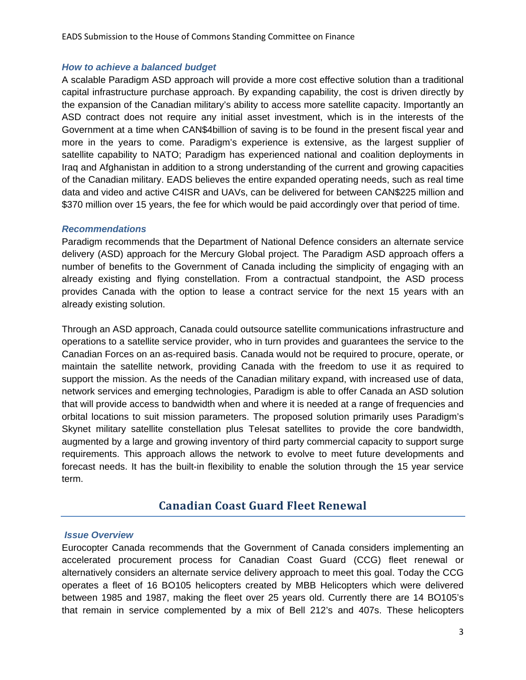### *How to achieve a balanced budget*

A scalable Paradigm ASD approach will provide a more cost effective solution than a traditional capital infrastructure purchase approach. By expanding capability, the cost is driven directly by the expansion of the Canadian military's ability to access more satellite capacity. Importantly an ASD contract does not require any initial asset investment, which is in the interests of the Government at a time when CAN\$4billion of saving is to be found in the present fiscal year and more in the years to come. Paradigm's experience is extensive, as the largest supplier of satellite capability to NATO; Paradigm has experienced national and coalition deployments in Iraq and Afghanistan in addition to a strong understanding of the current and growing capacities of the Canadian military. EADS believes the entire expanded operating needs, such as real time data and video and active C4ISR and UAVs, can be delivered for between CAN\$225 million and \$370 million over 15 years, the fee for which would be paid accordingly over that period of time.

# *Recommendations*

Paradigm recommends that the Department of National Defence considers an alternate service delivery (ASD) approach for the Mercury Global project. The Paradigm ASD approach offers a number of benefits to the Government of Canada including the simplicity of engaging with an already existing and flying constellation. From a contractual standpoint, the ASD process provides Canada with the option to lease a contract service for the next 15 years with an already existing solution.

Through an ASD approach, Canada could outsource satellite communications infrastructure and operations to a satellite service provider, who in turn provides and guarantees the service to the Canadian Forces on an as-required basis. Canada would not be required to procure, operate, or maintain the satellite network, providing Canada with the freedom to use it as required to support the mission. As the needs of the Canadian military expand, with increased use of data, network services and emerging technologies, Paradigm is able to offer Canada an ASD solution that will provide access to bandwidth when and where it is needed at a range of frequencies and orbital locations to suit mission parameters. The proposed solution primarily uses Paradigm's Skynet military satellite constellation plus Telesat satellites to provide the core bandwidth, augmented by a large and growing inventory of third party commercial capacity to support surge requirements. This approach allows the network to evolve to meet future developments and forecast needs. It has the built-in flexibility to enable the solution through the 15 year service term.

# **Canadian Coast Guard Fleet Renewal**

# *Issue Overview*

Eurocopter Canada recommends that the Government of Canada considers implementing an accelerated procurement process for Canadian Coast Guard (CCG) fleet renewal or alternatively considers an alternate service delivery approach to meet this goal. Today the CCG operates a fleet of 16 BO105 helicopters created by MBB Helicopters which were delivered between 1985 and 1987, making the fleet over 25 years old. Currently there are 14 BO105's that remain in service complemented by a mix of Bell 212's and 407s. These helicopters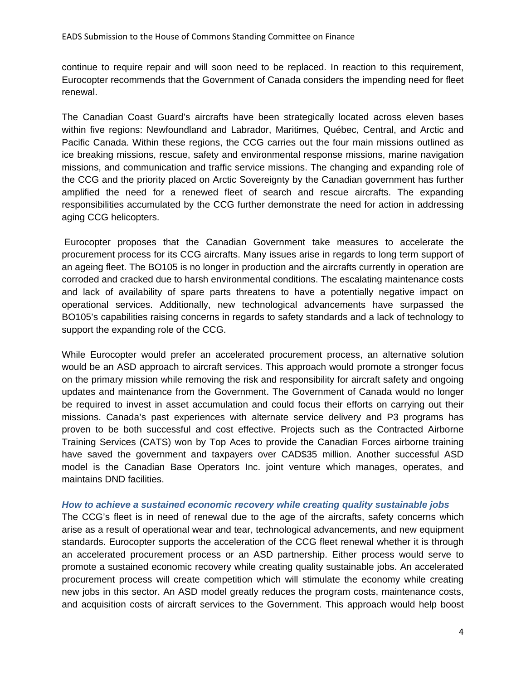continue to require repair and will soon need to be replaced. In reaction to this requirement, Eurocopter recommends that the Government of Canada considers the impending need for fleet renewal.

The Canadian Coast Guard's aircrafts have been strategically located across eleven bases within five regions: Newfoundland and Labrador, Maritimes, Québec, Central, and Arctic and Pacific Canada. Within these regions, the CCG carries out the four main missions outlined as ice breaking missions, rescue, safety and environmental response missions, marine navigation missions, and communication and traffic service missions. The changing and expanding role of the CCG and the priority placed on Arctic Sovereignty by the Canadian government has further amplified the need for a renewed fleet of search and rescue aircrafts. The expanding responsibilities accumulated by the CCG further demonstrate the need for action in addressing aging CCG helicopters.

 Eurocopter proposes that the Canadian Government take measures to accelerate the procurement process for its CCG aircrafts. Many issues arise in regards to long term support of an ageing fleet. The BO105 is no longer in production and the aircrafts currently in operation are corroded and cracked due to harsh environmental conditions. The escalating maintenance costs and lack of availability of spare parts threatens to have a potentially negative impact on operational services. Additionally, new technological advancements have surpassed the BO105's capabilities raising concerns in regards to safety standards and a lack of technology to support the expanding role of the CCG.

While Eurocopter would prefer an accelerated procurement process, an alternative solution would be an ASD approach to aircraft services. This approach would promote a stronger focus on the primary mission while removing the risk and responsibility for aircraft safety and ongoing updates and maintenance from the Government. The Government of Canada would no longer be required to invest in asset accumulation and could focus their efforts on carrying out their missions. Canada's past experiences with alternate service delivery and P3 programs has proven to be both successful and cost effective. Projects such as the Contracted Airborne Training Services (CATS) won by Top Aces to provide the Canadian Forces airborne training have saved the government and taxpayers over CAD\$35 million. Another successful ASD model is the Canadian Base Operators Inc. joint venture which manages, operates, and maintains DND facilities.

#### *How to achieve a sustained economic recovery while creating quality sustainable jobs*

The CCG's fleet is in need of renewal due to the age of the aircrafts, safety concerns which arise as a result of operational wear and tear, technological advancements, and new equipment standards. Eurocopter supports the acceleration of the CCG fleet renewal whether it is through an accelerated procurement process or an ASD partnership. Either process would serve to promote a sustained economic recovery while creating quality sustainable jobs. An accelerated procurement process will create competition which will stimulate the economy while creating new jobs in this sector. An ASD model greatly reduces the program costs, maintenance costs, and acquisition costs of aircraft services to the Government. This approach would help boost